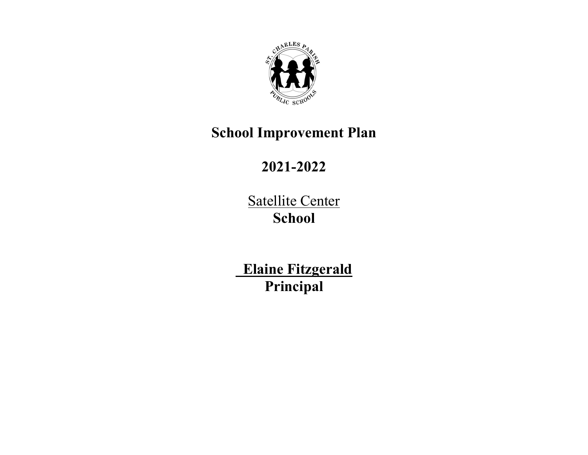

## **School Improvement Plan**

# **2021-2022**

Satellite Center **School**

 **Elaine Fitzgerald Principal**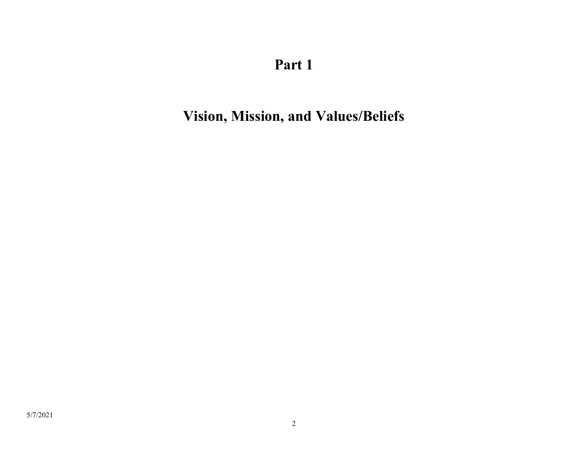# **Vision, Mission, and Values/Beliefs**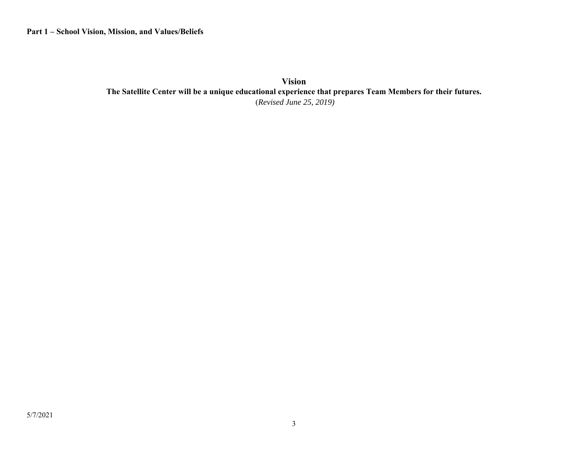**Vision The Satellite Center will be a unique educational experience that prepares Team Members for their futures.**  (*Revised June 25, 2019)*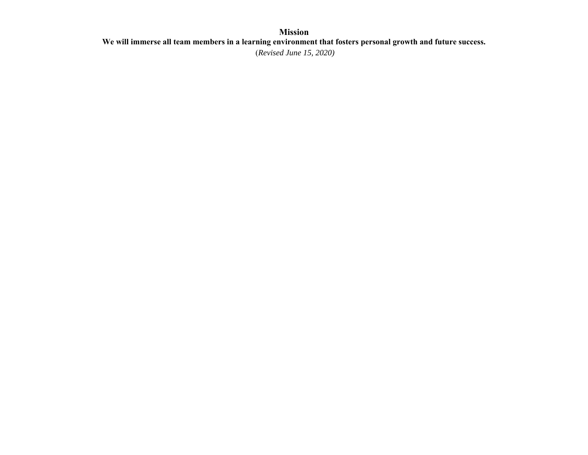#### **Mission We will immerse all team members in a learning environment that fosters personal growth and future success.**  (*Revised June 15, 2020)*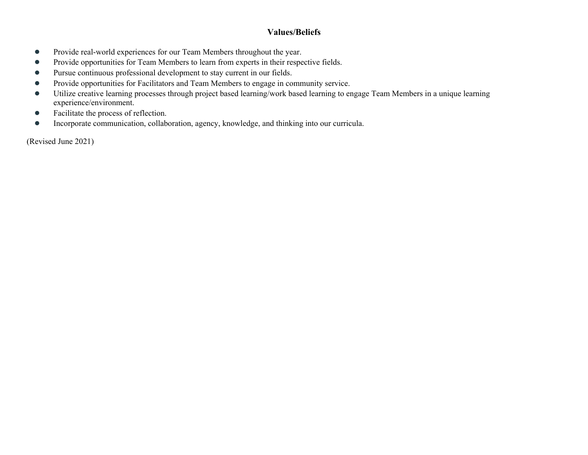#### **Values/Beliefs**

- $\bullet$ Provide real-world experiences for our Team Members throughout the year.
- $\bullet$ Provide opportunities for Team Members to learn from experts in their respective fields.
- $\bullet$ Pursue continuous professional development to stay current in our fields.
- ●Provide opportunities for Facilitators and Team Members to engage in community service.
- ● Utilize creative learning processes through project based learning/work based learning to engage Team Members in a unique learning experience/environment.
- $\bullet$ Facilitate the process of reflection.
- ●Incorporate communication, collaboration, agency, knowledge, and thinking into our curricula.

(Revised June 2021)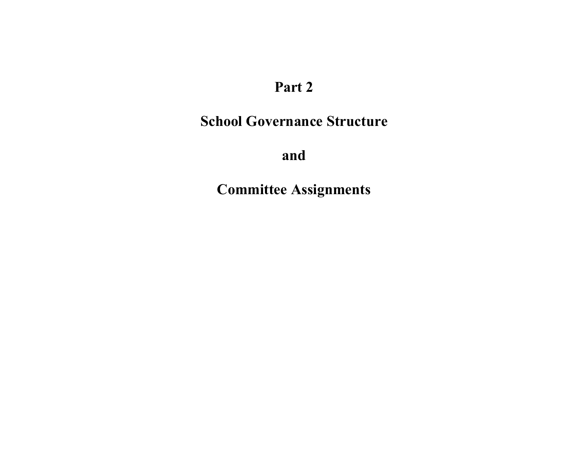## **School Governance Structure**

**and**

**Committee Assignments**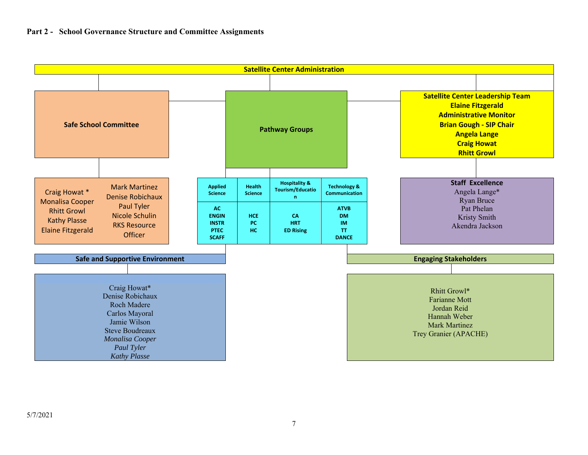#### **Part 2 - School Governance Structure and Committee Assignments**

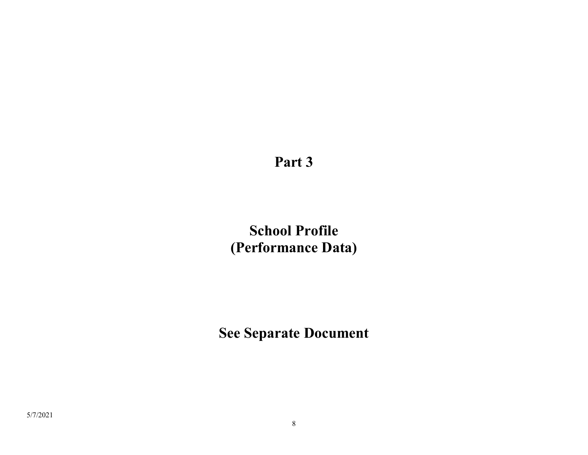**School Profile (Performance Data)**

**See Separate Document**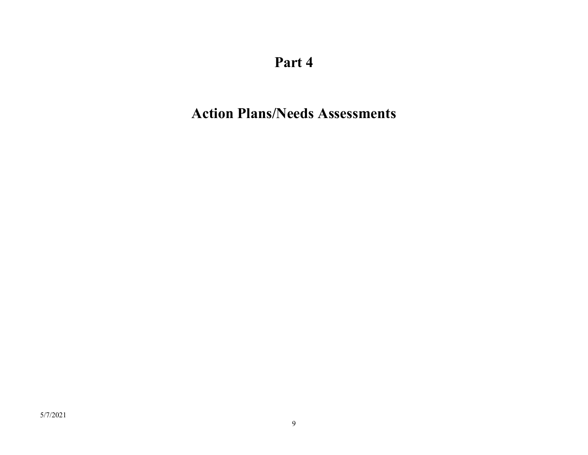# **Action Plans/Needs Assessments**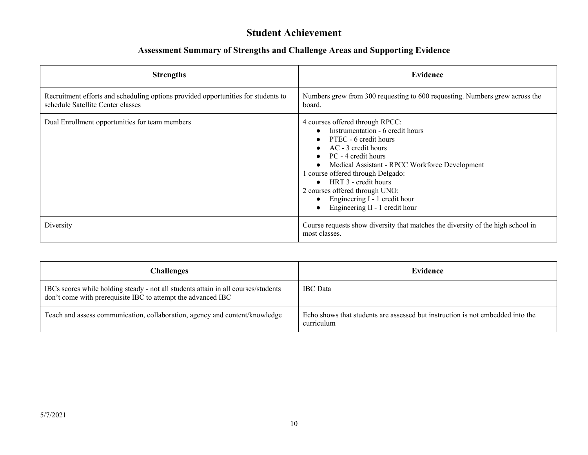#### **Student Achievement**

| <b>Strengths</b>                                                                                                       | <b>Evidence</b>                                                                                                                                                                                                                                                                                                                                                          |
|------------------------------------------------------------------------------------------------------------------------|--------------------------------------------------------------------------------------------------------------------------------------------------------------------------------------------------------------------------------------------------------------------------------------------------------------------------------------------------------------------------|
| Recruitment efforts and scheduling options provided opportunities for students to<br>schedule Satellite Center classes | Numbers grew from 300 requesting to 600 requesting. Numbers grew across the<br>board.                                                                                                                                                                                                                                                                                    |
| Dual Enrollment opportunities for team members                                                                         | 4 courses offered through RPCC:<br>Instrumentation - 6 credit hours<br>PTEC - 6 credit hours<br>AC - 3 credit hours<br>PC - 4 credit hours<br>Medical Assistant - RPCC Workforce Development<br>1 course offered through Delgado:<br>$\bullet$ HRT 3 - credit hours<br>2 courses offered through UNO:<br>Engineering I - 1 credit hour<br>Engineering II - 1 credit hour |
| Diversity                                                                                                              | Course requests show diversity that matches the diversity of the high school in<br>most classes.                                                                                                                                                                                                                                                                         |

| Challenges                                                                                                                                         | Evidence                                                                                     |
|----------------------------------------------------------------------------------------------------------------------------------------------------|----------------------------------------------------------------------------------------------|
| IBCs scores while holding steady - not all students attain in all courses/students<br>don't come with prerequisite IBC to attempt the advanced IBC | <b>IBC</b> Data                                                                              |
| Teach and assess communication, collaboration, agency and content/knowledge                                                                        | Echo shows that students are assessed but instruction is not embedded into the<br>curriculum |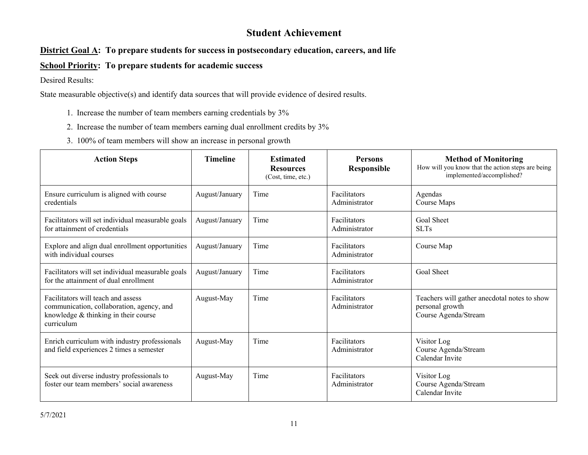#### **Student Achievement**

#### **District Goal A: To prepare students for success in postsecondary education, careers, and life**

#### **School Priority: To prepare students for academic success**

Desired Results:

- 1. Increase the number of team members earning credentials by 3%
- 2. Increase the number of team members earning dual enrollment credits by 3%
- 3. 100% of team members will show an increase in personal growth

| <b>Action Steps</b>                                                                                                                   | <b>Timeline</b> | <b>Estimated</b><br><b>Resources</b><br>(Cost, time, etc.) | <b>Persons</b><br>Responsible | <b>Method of Monitoring</b><br>How will you know that the action steps are being<br>implemented/accomplished? |
|---------------------------------------------------------------------------------------------------------------------------------------|-----------------|------------------------------------------------------------|-------------------------------|---------------------------------------------------------------------------------------------------------------|
| Ensure curriculum is aligned with course<br>credentials                                                                               | August/January  | Time                                                       | Facilitators<br>Administrator | Agendas<br>Course Maps                                                                                        |
| Facilitators will set individual measurable goals<br>for attainment of credentials                                                    | August/January  | Time                                                       | Facilitators<br>Administrator | <b>Goal Sheet</b><br><b>SLTs</b>                                                                              |
| Explore and align dual enrollment opportunities<br>with individual courses                                                            | August/January  | Time                                                       | Facilitators<br>Administrator | Course Map                                                                                                    |
| Facilitators will set individual measurable goals<br>for the attainment of dual enrollment                                            | August/January  | Time                                                       | Facilitators<br>Administrator | <b>Goal Sheet</b>                                                                                             |
| Facilitators will teach and assess<br>communication, collaboration, agency, and<br>knowledge & thinking in their course<br>curriculum | August-May      | Time                                                       | Facilitators<br>Administrator | Teachers will gather anecdotal notes to show<br>personal growth<br>Course Agenda/Stream                       |
| Enrich curriculum with industry professionals<br>and field experiences 2 times a semester                                             | August-May      | Time                                                       | Facilitators<br>Administrator | Visitor Log<br>Course Agenda/Stream<br>Calendar Invite                                                        |
| Seek out diverse industry professionals to<br>foster our team members' social awareness                                               | August-May      | Time                                                       | Facilitators<br>Administrator | Visitor Log<br>Course Agenda/Stream<br>Calendar Invite                                                        |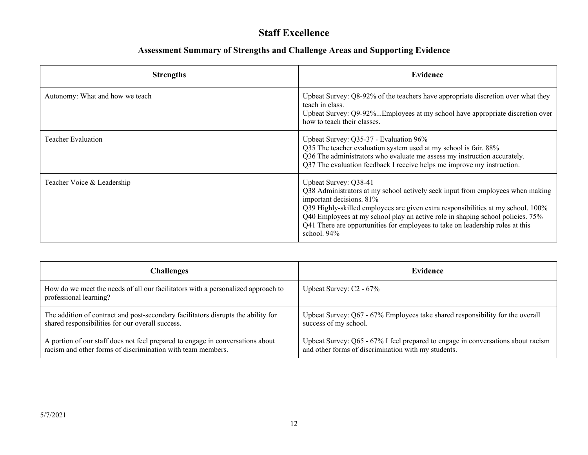### **Staff Excellence**

| <b>Strengths</b>                | Evidence                                                                                                                                                                                                                                                                                                                                                                                                     |
|---------------------------------|--------------------------------------------------------------------------------------------------------------------------------------------------------------------------------------------------------------------------------------------------------------------------------------------------------------------------------------------------------------------------------------------------------------|
| Autonomy: What and how we teach | Upbeat Survey: Q8-92% of the teachers have appropriate discretion over what they<br>teach in class.<br>Upbeat Survey: Q9-92%Employees at my school have appropriate discretion over<br>how to teach their classes.                                                                                                                                                                                           |
| Teacher Evaluation              | Upbeat Survey: Q35-37 - Evaluation 96%<br>Q35 The teacher evaluation system used at my school is fair. 88%<br>Q36 The administrators who evaluate me assess my instruction accurately.<br>Q37 The evaluation feedback I receive helps me improve my instruction.                                                                                                                                             |
| Teacher Voice & Leadership      | Upbeat Survey: Q38-41<br>Q38 Administrators at my school actively seek input from employees when making<br>important decisions. 81%<br>Q39 Highly-skilled employees are given extra responsibilities at my school. 100%<br>Q40 Employees at my school play an active role in shaping school policies. 75%<br>Q41 There are opportunities for employees to take on leadership roles at this<br>school. $94\%$ |

| Challenges                                                                                                 | Evidence                                                                         |
|------------------------------------------------------------------------------------------------------------|----------------------------------------------------------------------------------|
| How do we meet the needs of all our facilitators with a personalized approach to<br>professional learning? | Upbeat Survey: C2 - 67%                                                          |
| The addition of contract and post-secondary facilitators disrupts the ability for                          | Upbeat Survey: Q67 - 67% Employees take shared responsibility for the overall    |
| shared responsibilities for our overall success.                                                           | success of my school.                                                            |
| A portion of our staff does not feel prepared to engage in conversations about                             | Upbeat Survey: Q65 - 67% I feel prepared to engage in conversations about racism |
| racism and other forms of discrimination with team members.                                                | and other forms of discrimination with my students.                              |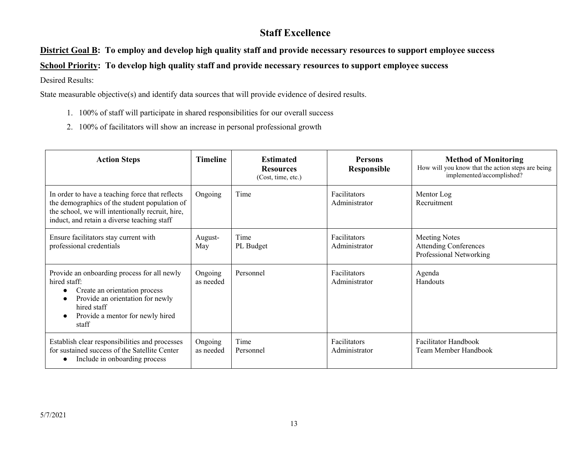### **Staff Excellence**

#### **District Goal B: To employ and develop high quality staff and provide necessary resources to support employee success**

**School Priority: To develop high quality staff and provide necessary resources to support employee success**

Desired Results:

- 1. 100% of staff will participate in shared responsibilities for our overall success
- 2. 100% of facilitators will show an increase in personal professional growth

| <b>Action Steps</b>                                                                                                                                                                                 | <b>Timeline</b>      | <b>Estimated</b><br><b>Resources</b><br>(Cost, time, etc.) | <b>Persons</b><br><b>Responsible</b> | <b>Method of Monitoring</b><br>How will you know that the action steps are being<br>implemented/accomplished? |
|-----------------------------------------------------------------------------------------------------------------------------------------------------------------------------------------------------|----------------------|------------------------------------------------------------|--------------------------------------|---------------------------------------------------------------------------------------------------------------|
| In order to have a teaching force that reflects<br>the demographics of the student population of<br>the school, we will intentionally recruit, hire,<br>induct, and retain a diverse teaching staff | Ongoing              | Time                                                       | Facilitators<br>Administrator        | Mentor Log<br>Recruitment                                                                                     |
| Ensure facilitators stay current with<br>professional credentials                                                                                                                                   | August-<br>May       | Time<br>PL Budget                                          | Facilitators<br>Administrator        | <b>Meeting Notes</b><br><b>Attending Conferences</b><br>Professional Networking                               |
| Provide an onboarding process for all newly<br>hired staff:<br>Create an orientation process<br>Provide an orientation for newly<br>hired staff<br>Provide a mentor for newly hired<br>staff        | Ongoing<br>as needed | Personnel                                                  | Facilitators<br>Administrator        | Agenda<br>Handouts                                                                                            |
| Establish clear responsibilities and processes<br>for sustained success of the Satellite Center<br>Include in onboarding process                                                                    | Ongoing<br>as needed | Time<br>Personnel                                          | Facilitators<br>Administrator        | Facilitator Handbook<br>Team Member Handbook                                                                  |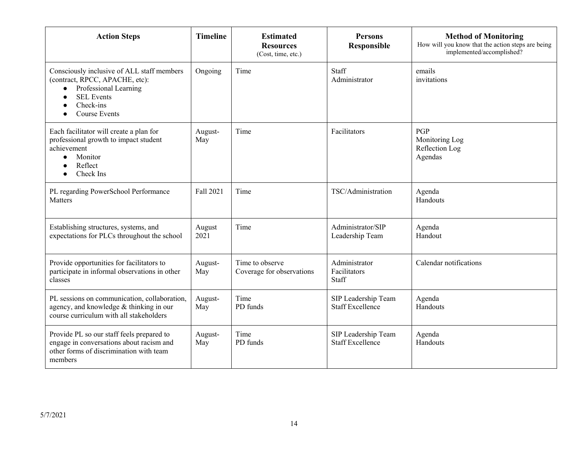| <b>Action Steps</b>                                                                                                                                                          | <b>Timeline</b> | <b>Estimated</b><br><b>Resources</b><br>(Cost, time, etc.) | <b>Persons</b><br>Responsible                  | <b>Method of Monitoring</b><br>How will you know that the action steps are being<br>implemented/accomplished? |
|------------------------------------------------------------------------------------------------------------------------------------------------------------------------------|-----------------|------------------------------------------------------------|------------------------------------------------|---------------------------------------------------------------------------------------------------------------|
| Consciously inclusive of ALL staff members<br>(contract, RPCC, APACHE, etc):<br>Professional Learning<br>$\bullet$<br><b>SEL Events</b><br>Check-ins<br><b>Course Events</b> | Ongoing         | Time                                                       | Staff<br>Administrator                         | emails<br>invitations                                                                                         |
| Each facilitator will create a plan for<br>professional growth to impact student<br>achievement<br>Monitor<br>$\bullet$<br>Reflect<br>Check Ins                              | August-<br>May  | Time                                                       | Facilitators                                   | PGP<br>Monitoring Log<br>Reflection Log<br>Agendas                                                            |
| PL regarding PowerSchool Performance<br><b>Matters</b>                                                                                                                       | Fall 2021       | Time                                                       | TSC/Administration                             | Agenda<br>Handouts                                                                                            |
| Establishing structures, systems, and<br>expectations for PLCs throughout the school                                                                                         | August<br>2021  | Time                                                       | Administrator/SIP<br>Leadership Team           | Agenda<br>Handout                                                                                             |
| Provide opportunities for facilitators to<br>participate in informal observations in other<br>classes                                                                        | August-<br>May  | Time to observe<br>Coverage for observations               | Administrator<br>Facilitators<br>Staff         | Calendar notifications                                                                                        |
| PL sessions on communication, collaboration,<br>agency, and knowledge & thinking in our<br>course curriculum with all stakeholders                                           | August-<br>May  | Time<br>PD funds                                           | SIP Leadership Team<br><b>Staff Excellence</b> | Agenda<br>Handouts                                                                                            |
| Provide PL so our staff feels prepared to<br>engage in conversations about racism and<br>other forms of discrimination with team<br>members                                  | August-<br>May  | Time<br>PD funds                                           | SIP Leadership Team<br><b>Staff Excellence</b> | Agenda<br>Handouts                                                                                            |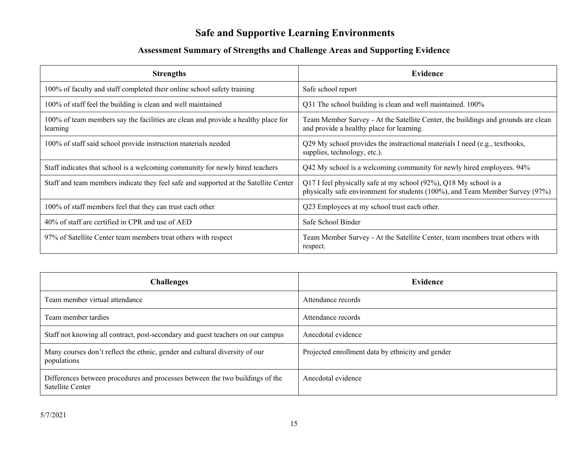### **Safe and Supportive Learning Environments**

| <b>Strengths</b>                                                                              | Evidence                                                                                                                                           |
|-----------------------------------------------------------------------------------------------|----------------------------------------------------------------------------------------------------------------------------------------------------|
| 100% of faculty and staff completed their online school safety training                       | Safe school report                                                                                                                                 |
| 100% of staff feel the building is clean and well maintained                                  | Q31 The school building is clean and well maintained. 100%                                                                                         |
| 100% of team members say the facilities are clean and provide a healthy place for<br>learning | Team Member Survey - At the Satellite Center, the buildings and grounds are clean<br>and provide a healthy place for learning.                     |
| 100% of staff said school provide instruction materials needed                                | Q29 My school provides the instructional materials I need (e.g., textbooks,<br>supplies, technology, etc.).                                        |
| Staff indicates that school is a welcoming community for newly hired teachers                 | Q42 My school is a welcoming community for newly hired employees. 94%                                                                              |
| Staff and team members indicate they feel safe and supported at the Satellite Center          | Q17 I feel physically safe at my school (92%), Q18 My school is a<br>physically safe environment for students (100%), and Team Member Survey (97%) |
| 100% of staff members feel that they can trust each other                                     | Q23 Employees at my school trust each other.                                                                                                       |
| 40% of staff are certified in CPR and use of AED                                              | Safe School Binder                                                                                                                                 |
| 97% of Satellite Center team members treat others with respect                                | Team Member Survey - At the Satellite Center, team members treat others with<br>respect.                                                           |

| <b>Challenges</b>                                                                                        | <b>Evidence</b>                                   |
|----------------------------------------------------------------------------------------------------------|---------------------------------------------------|
| Team member virtual attendance                                                                           | Attendance records                                |
| Team member tardies                                                                                      | Attendance records                                |
| Staff not knowing all contract, post-secondary and guest teachers on our campus                          | Anecdotal evidence                                |
| Many courses don't reflect the ethnic, gender and cultural diversity of our<br>populations               | Projected enrollment data by ethnicity and gender |
| Differences between procedures and processes between the two buildings of the<br><b>Satellite Center</b> | Anecdotal evidence                                |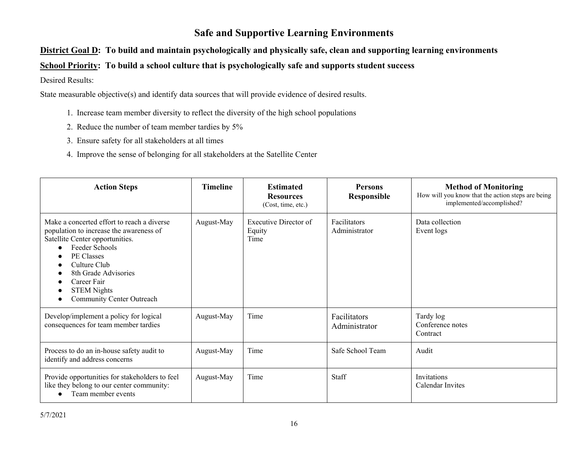#### **Safe and Supportive Learning Environments**

#### **District Goal D: To build and maintain psychologically and physically safe, clean and supporting learning environments**

#### **School Priority: To build a school culture that is psychologically safe and supports student success**

#### Desired Results:

- 1. Increase team member diversity to reflect the diversity of the high school populations
- 2. Reduce the number of team member tardies by 5%
- 3. Ensure safety for all stakeholders at all times
- 4. Improve the sense of belonging for all stakeholders at the Satellite Center

| <b>Action Steps</b>                                                                                                                                                                                                                                                | <b>Timeline</b> | <b>Estimated</b><br><b>Resources</b><br>(Cost, time, etc.) | <b>Persons</b><br><b>Responsible</b> | <b>Method of Monitoring</b><br>How will you know that the action steps are being<br>implemented/accomplished? |
|--------------------------------------------------------------------------------------------------------------------------------------------------------------------------------------------------------------------------------------------------------------------|-----------------|------------------------------------------------------------|--------------------------------------|---------------------------------------------------------------------------------------------------------------|
| Make a concerted effort to reach a diverse<br>population to increase the awareness of<br>Satellite Center opportunities.<br>Feeder Schools<br>PE Classes<br>Culture Club<br>8th Grade Advisories<br>Career Fair<br><b>STEM Nights</b><br>Community Center Outreach | August-May      | <b>Executive Director of</b><br>Equity<br>Time             | Facilitators<br>Administrator        | Data collection<br>Event logs                                                                                 |
| Develop/implement a policy for logical<br>consequences for team member tardies                                                                                                                                                                                     | August-May      | Time                                                       | Facilitators<br>Administrator        | Tardy log<br>Conference notes<br>Contract                                                                     |
| Process to do an in-house safety audit to<br>identify and address concerns                                                                                                                                                                                         | August-May      | Time                                                       | Safe School Team                     | Audit                                                                                                         |
| Provide opportunities for stakeholders to feel<br>like they belong to our center community:<br>Team member events                                                                                                                                                  | August-May      | Time                                                       | Staff                                | Invitations<br>Calendar Invites                                                                               |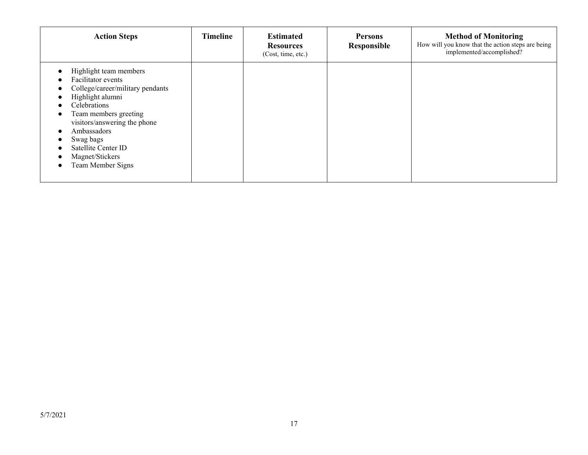| <b>Action Steps</b>                                                                                                                                                                                                                                                      | Timeline | <b>Estimated</b><br><b>Resources</b><br>(Cost, time, etc.) | <b>Persons</b><br>Responsible | <b>Method of Monitoring</b><br>How will you know that the action steps are being<br>implemented/accomplished? |
|--------------------------------------------------------------------------------------------------------------------------------------------------------------------------------------------------------------------------------------------------------------------------|----------|------------------------------------------------------------|-------------------------------|---------------------------------------------------------------------------------------------------------------|
| Highlight team members<br>Facilitator events<br>College/career/military pendants<br>Highlight alumni<br>Celebrations<br>Team members greeting<br>visitors/answering the phone<br>Ambassadors<br>Swag bags<br>Satellite Center ID<br>Magnet/Stickers<br>Team Member Signs |          |                                                            |                               |                                                                                                               |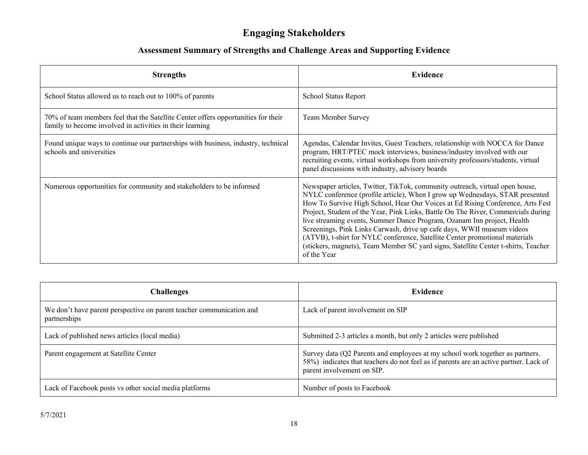### **Engaging Stakeholders**

| <b>Strengths</b>                                                                                                                               | <b>Evidence</b>                                                                                                                                                                                                                                                                                                                                                                                                                                                                                                                                                                                                                                                              |
|------------------------------------------------------------------------------------------------------------------------------------------------|------------------------------------------------------------------------------------------------------------------------------------------------------------------------------------------------------------------------------------------------------------------------------------------------------------------------------------------------------------------------------------------------------------------------------------------------------------------------------------------------------------------------------------------------------------------------------------------------------------------------------------------------------------------------------|
| School Status allowed us to reach out to 100% of parents                                                                                       | School Status Report                                                                                                                                                                                                                                                                                                                                                                                                                                                                                                                                                                                                                                                         |
| 70% of team members feel that the Satellite Center offers opportunities for their<br>family to become involved in activities in their learning | Team Member Survey                                                                                                                                                                                                                                                                                                                                                                                                                                                                                                                                                                                                                                                           |
| Found unique ways to continue our partnerships with business, industry, technical<br>schools and universities                                  | Agendas, Calendar Invites, Guest Teachers, relationship with NOCCA for Dance<br>program, HRT/PTEC mock interviews, business/industry involved with our<br>recruiting events, virtual workshops from university professors/students, virtual<br>panel discussions with industry, advisory boards                                                                                                                                                                                                                                                                                                                                                                              |
| Numerous opportunities for community and stakeholders to be informed                                                                           | Newspaper articles, Twitter, TikTok, community outreach, virtual open house,<br>NYLC conference (profile article), When I grow up Wednesdays, STAR presented<br>How To Survive High School, Hear Our Voices at Ed Rising Conference, Arts Fest<br>Project, Student of the Year, Pink Links, Battle On The River, Commercials during<br>live streaming events, Summer Dance Program, Ozanam Inn project, Health<br>Screenings, Pink Links Carwash, drive up cafe days, WWII museum videos<br>(ATVB), t-shirt for NYLC conference, Satellite Center promotional materials<br>(stickers, magnets), Team Member SC yard signs, Satellite Center t-shirts, Teacher<br>of the Year |

| <b>Challenges</b>                                                                    | Evidence                                                                                                                                                                                             |
|--------------------------------------------------------------------------------------|------------------------------------------------------------------------------------------------------------------------------------------------------------------------------------------------------|
| We don't have parent perspective on parent teacher communication and<br>partnerships | Lack of parent involvement on SIP                                                                                                                                                                    |
| Lack of published news articles (local media)                                        | Submitted 2-3 articles a month, but only 2 articles were published                                                                                                                                   |
| Parent engagement at Satellite Center                                                | Survey data (Q2 Parents and employees at my school work together as partners.<br>58%) indicates that teachers do not feel as if parents are an active partner. Lack of<br>parent involvement on SIP. |
| Lack of Facebook posts vs other social media platforms                               | Number of posts to Facebook                                                                                                                                                                          |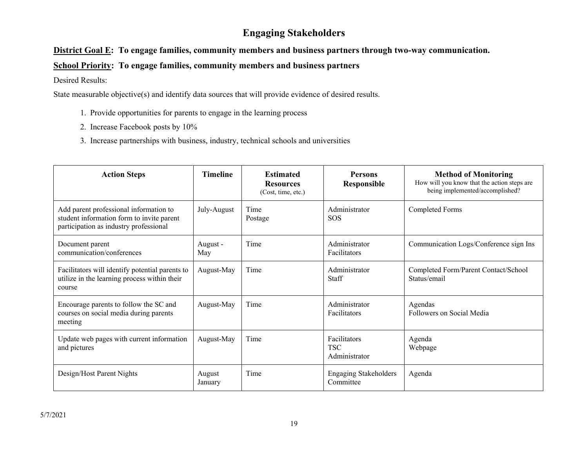### **Engaging Stakeholders**

#### **District Goal E: To engage families, community members and business partners through two-way communication.**

#### **School Priority: To engage families, community members and business partners**

Desired Results:

- 1. Provide opportunities for parents to engage in the learning process
- 2. Increase Facebook posts by 10%
- 3. Increase partnerships with business, industry, technical schools and universities

| <b>Action Steps</b>                                                                                                           | <b>Timeline</b>   | <b>Estimated</b><br><b>Resources</b><br>(Cost, time, etc.) | <b>Persons</b><br>Responsible               | <b>Method of Monitoring</b><br>How will you know that the action steps are<br>being implemented/accomplished? |
|-------------------------------------------------------------------------------------------------------------------------------|-------------------|------------------------------------------------------------|---------------------------------------------|---------------------------------------------------------------------------------------------------------------|
| Add parent professional information to<br>student information form to invite parent<br>participation as industry professional | July-August       | Time<br>Postage                                            | Administrator<br><b>SOS</b>                 | <b>Completed Forms</b>                                                                                        |
| Document parent<br>communication/conferences                                                                                  | August -<br>May   | Time                                                       | Administrator<br>Facilitators               | Communication Logs/Conference sign Ins                                                                        |
| Facilitators will identify potential parents to<br>utilize in the learning process within their<br>course                     | August-May        | Time                                                       | Administrator<br>Staff                      | Completed Form/Parent Contact/School<br>Status/email                                                          |
| Encourage parents to follow the SC and<br>courses on social media during parents<br>meeting                                   | August-May        | Time                                                       | Administrator<br>Facilitators               | Agendas<br>Followers on Social Media                                                                          |
| Update web pages with current information<br>and pictures                                                                     | August-May        | Time                                                       | Facilitators<br><b>TSC</b><br>Administrator | Agenda<br>Webpage                                                                                             |
| Design/Host Parent Nights                                                                                                     | August<br>January | Time                                                       | <b>Engaging Stakeholders</b><br>Committee   | Agenda                                                                                                        |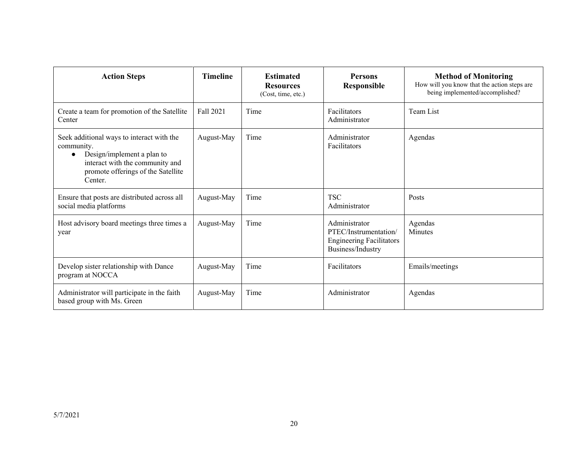| <b>Action Steps</b>                                                                                                                                                                    | <b>Timeline</b> | <b>Estimated</b><br><b>Resources</b><br>(Cost, time, etc.) | <b>Persons</b><br>Responsible                                                                  | <b>Method of Monitoring</b><br>How will you know that the action steps are<br>being implemented/accomplished? |
|----------------------------------------------------------------------------------------------------------------------------------------------------------------------------------------|-----------------|------------------------------------------------------------|------------------------------------------------------------------------------------------------|---------------------------------------------------------------------------------------------------------------|
| Create a team for promotion of the Satellite<br>Center                                                                                                                                 | Fall 2021       | Time                                                       | Facilitators<br>Administrator                                                                  | Team List                                                                                                     |
| Seek additional ways to interact with the<br>community.<br>Design/implement a plan to<br>$\bullet$<br>interact with the community and<br>promote offerings of the Satellite<br>Center. | August-May      | Time                                                       | Administrator<br>Facilitators                                                                  | Agendas                                                                                                       |
| Ensure that posts are distributed across all<br>social media platforms                                                                                                                 | August-May      | Time                                                       | <b>TSC</b><br>Administrator                                                                    | Posts                                                                                                         |
| Host advisory board meetings three times a<br>year                                                                                                                                     | August-May      | Time                                                       | Administrator<br>PTEC/Instrumentation/<br><b>Engineering Facilitators</b><br>Business/Industry | Agendas<br><b>Minutes</b>                                                                                     |
| Develop sister relationship with Dance<br>program at NOCCA                                                                                                                             | August-May      | Time                                                       | Facilitators                                                                                   | Emails/meetings                                                                                               |
| Administrator will participate in the faith<br>based group with Ms. Green                                                                                                              | August-May      | Time                                                       | Administrator                                                                                  | Agendas                                                                                                       |